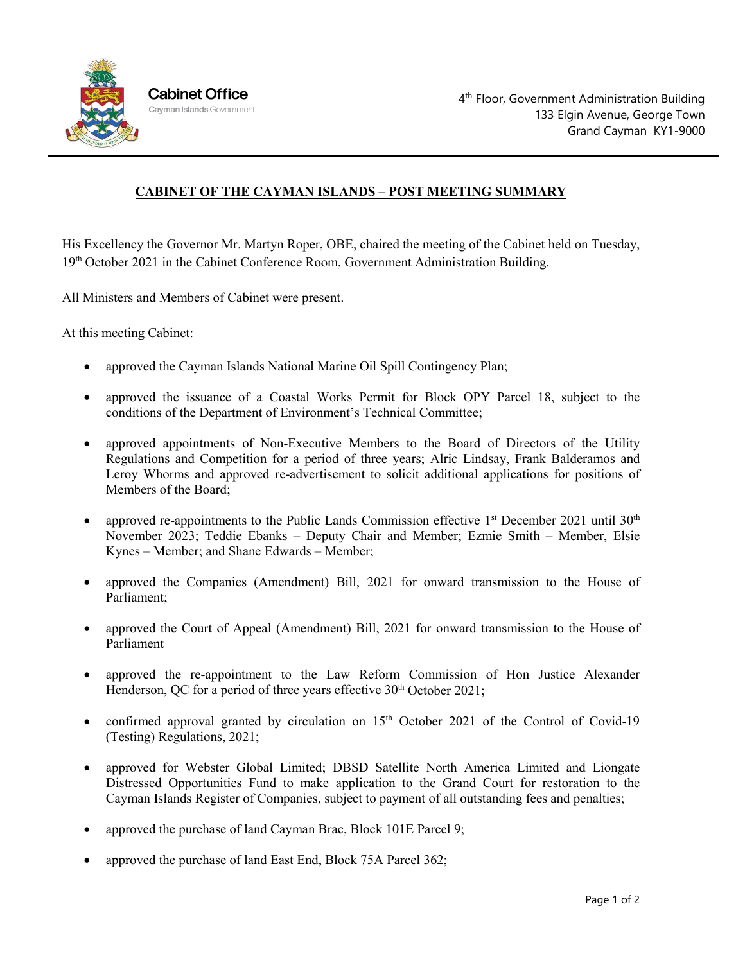

## **CABINET OF THE CAYMAN ISLANDS – POST MEETING SUMMARY**

His Excellency the Governor Mr. Martyn Roper, OBE, chaired the meeting of the Cabinet held on Tuesday, 19th October 2021 in the Cabinet Conference Room, Government Administration Building.

All Ministers and Members of Cabinet were present.

At this meeting Cabinet:

- approved the Cayman Islands National Marine Oil Spill Contingency Plan;
- approved the issuance of a Coastal Works Permit for Block OPY Parcel 18, subject to the conditions of the Department of Environment's Technical Committee;
- approved appointments of Non-Executive Members to the Board of Directors of the Utility Regulations and Competition for a period of three years; Alric Lindsay, Frank Balderamos and Leroy Whorms and approved re-advertisement to solicit additional applications for positions of Members of the Board;
- approved re-appointments to the Public Lands Commission effective  $1<sup>st</sup>$  December 2021 until 30<sup>th</sup> November 2023; Teddie Ebanks – Deputy Chair and Member; Ezmie Smith – Member, Elsie Kynes – Member; and Shane Edwards – Member;
- approved the Companies (Amendment) Bill, 2021 for onward transmission to the House of Parliament;
- approved the Court of Appeal (Amendment) Bill, 2021 for onward transmission to the House of Parliament
- approved the re-appointment to the Law Reform Commission of Hon Justice Alexander Henderson, QC for a period of three years effective  $30<sup>th</sup>$  October 2021;
- confirmed approval granted by circulation on  $15<sup>th</sup>$  October 2021 of the Control of Covid-19 (Testing) Regulations, 2021;
- approved for Webster Global Limited; DBSD Satellite North America Limited and Liongate Distressed Opportunities Fund to make application to the Grand Court for restoration to the Cayman Islands Register of Companies, subject to payment of all outstanding fees and penalties;
- approved the purchase of land Cayman Brac, Block 101E Parcel 9;
- approved the purchase of land East End, Block 75A Parcel 362;